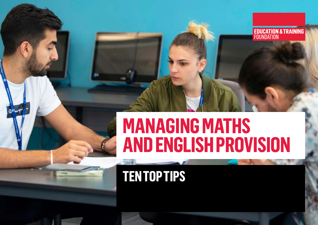## **MANAGING MATHS AND ENGLISH PROVISION**

**EDUCATION & TRAINING**<br>FOUNDATION

## **TEN TOP TIPS**

ae.